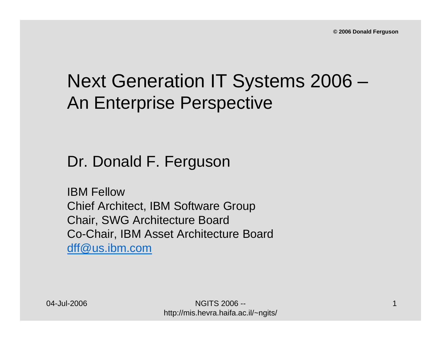# Next Generation IT Systems 2006 – An Enterprise Perspective

#### Dr. Donald F. Ferguson

IBM FellowChief Architect, IBM Software Group Chair, SWG Architecture Board Co-Chair, IBM Asset Architecture Board [dff@us.ibm.com](mailto:dff@us.ibm.com)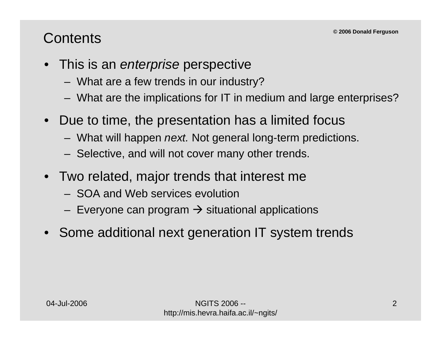#### **Contents**

- This is an *enterprise* perspective
	- What are a few trends in our industry?
	- –What are the implications for IT in medium and large enterprises?
- Due to time, the presentation has a limited focus
	- What will happen *next.* Not general long-term predictions.
	- Selective, and will not cover many other trends.
- Two related, major trends that interest me
	- SOA and Web services evolution
	- Everyone can program  $\rightarrow$  situational applications
- Some additional next generation IT system trends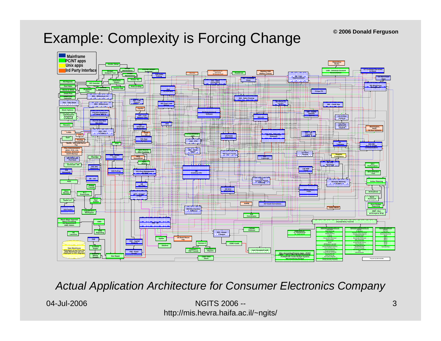#### Example: Complexity is Forcing Change



*Actual Application Architecture for Consumer Electronics Company*

04-Jul-2006

NGITS 2006 -http://mis.hevra.haifa.ac.il/~ngits/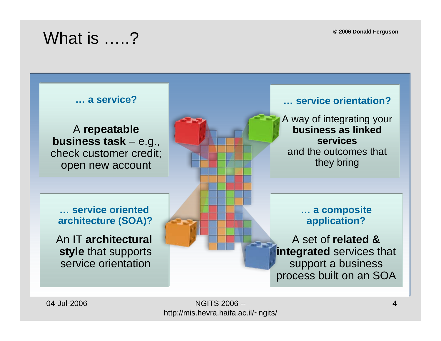**© 2006 Donald Ferguson**

### What is .....?

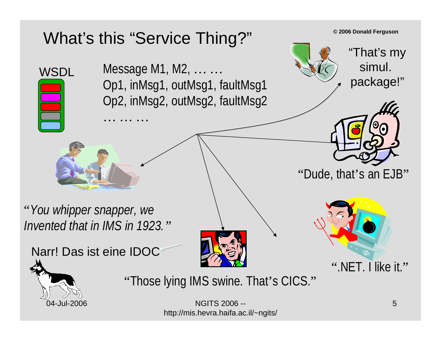# What's this "Service Thing?"

. . . . . . . . .

Message M1, M2, … … Op1, inMsg1, outMsg1, faultMsg1 Op2, inMsg2, outMsg2, faultMsg2

"*You whipper snapper, we Invented that in IMS in 1923."*







"Dude, that's an EJB"

**© 2006 Donald Ferguson**

"That's my

simul.

package!"



**WSDL** 

"Those lying IMS swine. That's CICS."

NGITS 2006 -http://mis.hevra.haifa.ac.il/~ngits/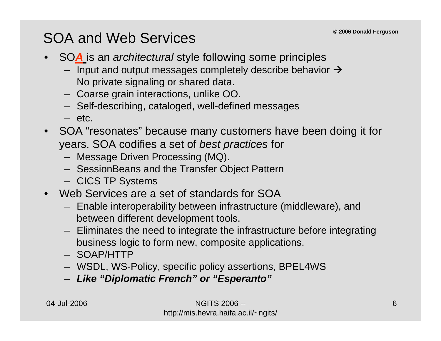### SOA and Web Services

- SO*A* is an *architectural* style following some principles
	- Input and output messages completely describe behavior  $\rightarrow$ No private signaling or shared data.
	- Coarse grain interactions, unlike OO.
	- Self-describing, cataloged, well-defined messages
	- etc.
- SOA "resonates" because many customers have been doing it for years. SOA codifies a set of *best practices* for
	- Message Driven Processing (MQ).
	- SessionBeans and the Transfer Object Pattern
	- CICS TP Systems
- Web Services are a set of standards for SOA
	- Enable interoperability between infrastructure (middleware), and between different development tools.
	- Eliminates the need to integrate the infrastructure before integrating business logic to form new, composite applications.
	- SOAP/HTTP
	- WSDL, WS-Policy, specific policy assertions, BPEL4WS
	- *Like "Diplomatic French" or "Esperanto"*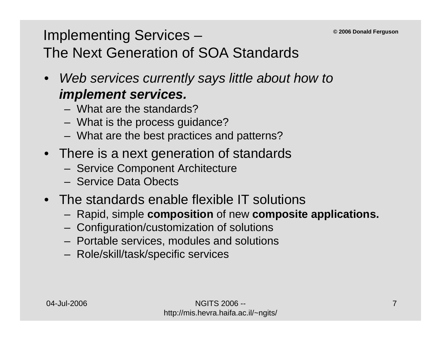### Implementing Services – The Next Generation of SOA Standards

- *Web services currently says little about how to implement services.*
	- What are the standards?
	- What is the process guidance?
	- What are the best practices and patterns?
- There is a next generation of standards
	- Service Component Architecture
	- Service Data Obects
- The standards enable flexible IT solutions
	- Rapid, simple **composition** of new **composite applications.**
	- Configuration/customization of solutions
	- Portable services, modules and solutions
	- Role/skill/task/specific services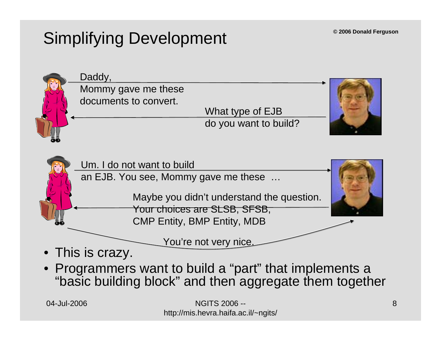# Simplifying Development



• Programmers want to build a "part" that implements a "basic building block" and then aggregate them together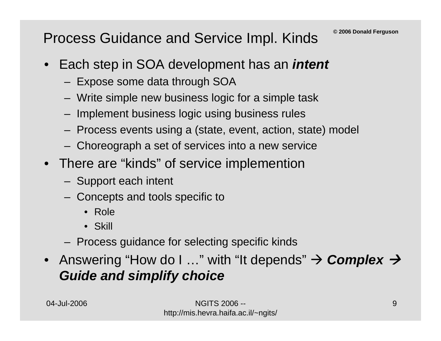#### Process Guidance and Service Impl. Kinds

- • Each step in SOA development has an *intent*
	- Expose some data through SOA
	- –Write simple new business logic for a simple task
	- Implement business logic using business rules
	- Process events using a (state, event, action, state) model
	- Choreograph a set of services into a new service
- There are "kinds" of service implemention
	- Support each intent
	- Concepts and tools specific to
		- Role
		- Skill
	- Process guidance for selecting specific kinds
- Answering "How do I …" with "It depends" → *Complex → Guide and simplify choice*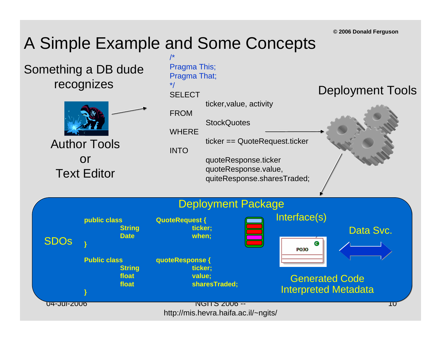# A Simple Example and Some Concepts

Something a DB dude recognizes



Author ToolsorText Editor

**}**

**}**



04-Jul-2006

SDOs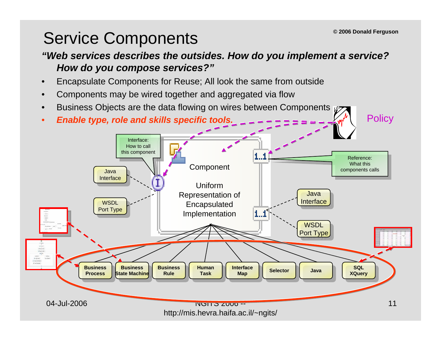**Policy** 

## Service Components

#### *"Web services describes the outsides. How do you implement a service? How do you compose services?"*

- •Encapsulate Components for Reuse; All look the same from outside
- •Components may be wired together and aggregated via flow
- •Business Objects are the data flowing on wires between Components  $\mathfrak{g}_{2}$
- •*Enable type, role and skills specific tools.*

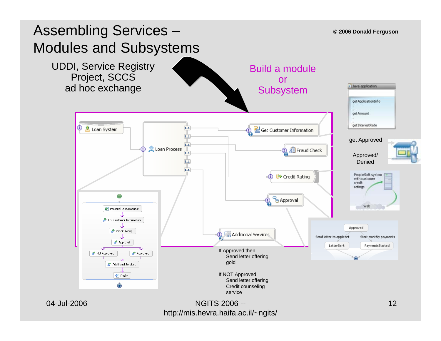

http://mis.hevra.haifa.ac.il/~ngits/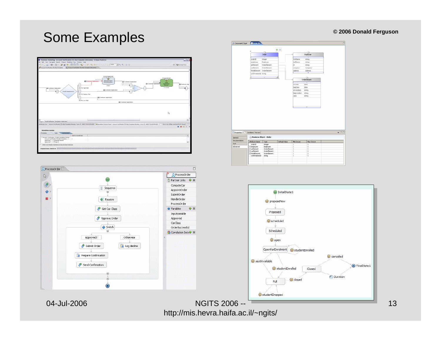#### **© 2006 Donald Ferguson**

#### Some Examples





2 Component2.bpel Contact  $+ 8$  $Order$ Employee edartin integer string molovee Englove string artienent OrderElement string willement OrderElement Company otelElement CrderElement Address onfirmationID string **OrderElement** erDate  $_{\text{date}}$ stocke date et ocation string el ocation string string  $-5$ Properties 23 Problems Servers **Dusiness Object - Order** General Documentation Attribute Name | Type Default Value Min Occurs Max Occur Verb. integer<br>Employee<br>OrderElement<br>OrderElement orderID Eeroloyee<br>Eartlenert<br>Ecofilement<br>Ehotelilement Advanced OrderElemen confirmationID string



http://mis.hevra.haifa.ac.il/~ngits/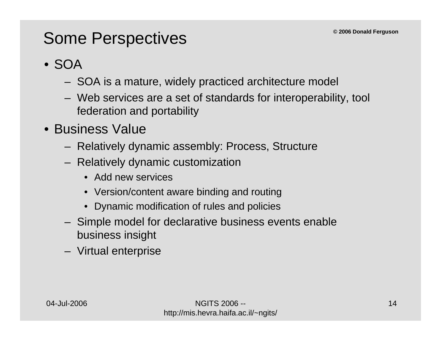### Some Perspectives

#### • SOA

- SOA is a mature, widely practiced architecture model
- Web services are a set of standards for interoperability, tool federation and portability
- Business Value
	- Relatively dynamic assembly: Process, Structure
	- Relatively dynamic customization
		- Add new services
		- Version/content aware binding and routing
		- •Dynamic modification of rules and policies
	- Simple model for declarative business events enable business insight
	- Virtual enterprise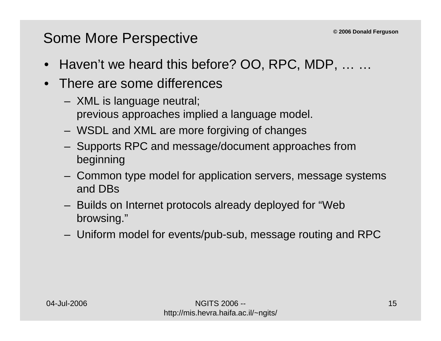#### Some More Perspective

- •Haven't we heard this before? OO, RPC, MDP, … …
- $\bullet$  There are some differences
	- XML is language neutral; previous approaches implied a language model.
	- WSDL and XML are more forgiving of changes
	- Supports RPC and message/document approaches from beginning
	- Common type model for application servers, message systems and DBs
	- Builds on Internet protocols already deployed for "Web browsing."
	- Uniform model for events/pub-sub, message routing and RPC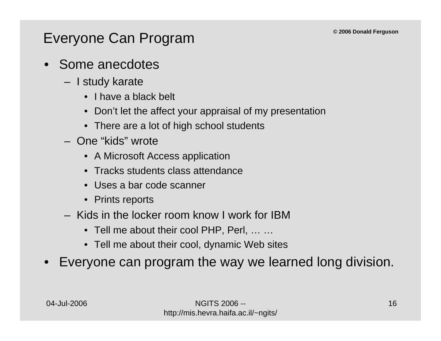#### Everyone Can Program

- Some anecdotes
	- I study karate
		- I have a black belt
		- •Don't let the affect your appraisal of my presentation
		- There are a lot of high school students
	- One "kids" wrote
		- A Microsoft Access application
		- Tracks students class attendance
		- Uses a bar code scanner
		- Prints reports
	- Kids in the locker room know I work for IBM
		- Tell me about their cool PHP, Perl, … …
		- Tell me about their cool, dynamic Web sites
- •Everyone can program the way we learned long division.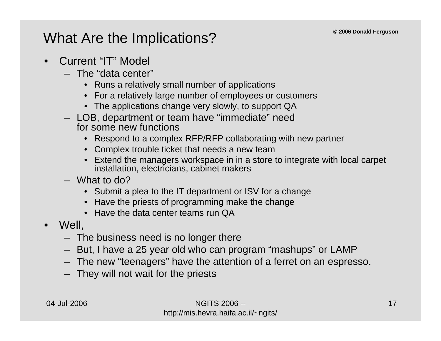#### What Are the Implications?

- • Current "IT" Model
	- The "data center"
		- Runs a relatively small number of applications
		- For a relatively large number of employees or customers
		- The applications change very slowly, to support QA
	- LOB, department or team have "immediate" need for some new functions
		- •Respond to a complex RFP/RFP collaborating with new partner
		- Complex trouble ticket that needs a new team
		- • Extend the managers workspace in in a store to integrate with local carpet installation, electricians, cabinet makers
	- What to do?
		- Submit a plea to the IT department or ISV for a change
		- Have the priests of programming make the change
		- Have the data center teams run QA
- • Well,
	- The business need is no longer there
	- But, I have a 25 year old who can program "mashups" or LAMP
	- The new "teenagers" have the attention of a ferret on an espresso.
	- They will not wait for the priests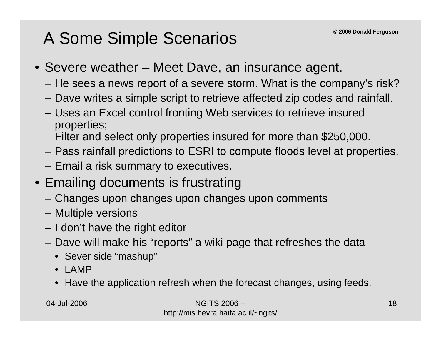# A Some Simple Scenarios

- Severe weather Meet Dave, an insurance agent.
	- He sees a news report of a severe storm. What is the company's risk?
	- Dave writes a simple script to retrieve affected zip codes and rainfall.
	- Uses an Excel control fronting Web services to retrieve insured properties;
		- Filter and select only properties insured for more than \$250,000.
	- Pass rainfall predictions to ESRI to compute floods level at properties.
	- Email a risk summary to executives.
- Emailing documents is frustrating
	- Changes upon changes upon changes upon comments
	- Multiple versions
	- I don't have the right editor
	- Dave will make his "reports" a wiki page that refreshes the data
		- Sever side "mashup"
		- •LAMP
		- Have the application refresh when the forecast changes, using feeds.

NGITS 2006 -http://mis.hevra.haifa.ac.il/~ngits/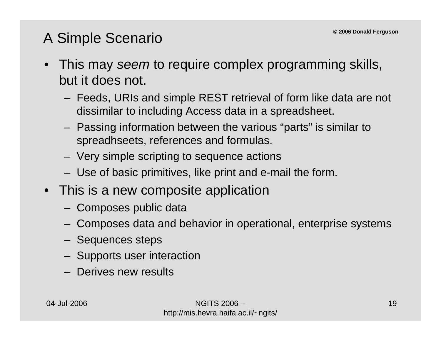#### A Simple Scenario

- This may *seem* to require complex programming skills, but it does not.
	- – Feeds, URIs and simple REST retrieval of form like data are not dissimilar to including Access data in a spreadsheet.
	- Passing information between the various "parts" is similar to spreadhseets, references and formulas.
	- Very simple scripting to sequence actions
	- Use of basic primitives, like print and e-mail the form.
- This is a new composite application
	- Composes public data
	- Composes data and behavior in operational, enterprise systems
	- Sequences steps
	- Supports user interaction
	- Derives new results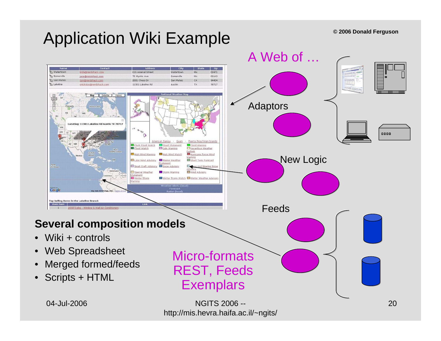# Application Wiki Example

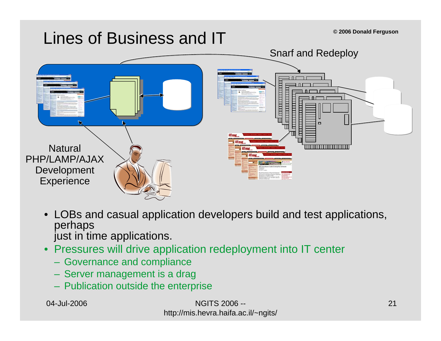### Lines of Business and IT



- LOBs and casual application developers build and test applications, perhaps just in time applications.
- • Pressures will drive application redeployment into IT center
	- Governance and compliance
	- Server management is a drag
	- Publication outside the enterprise

NGITS 2006 -http://mis.hevra.haifa.ac.il/~ngits/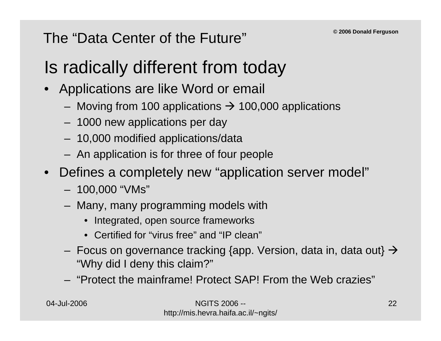#### The "Data Center of the Future"

# Is radically different from today

- • Applications are like Word or email
	- Moving from 100 applications  $\rightarrow$  100,000 applications
	- 1000 new applications per day
	- 10,000 modified applications/data
	- An application is for three of four people
- Defines a completely new "application server model"
	- 100,000 "VMs"
	- Many, many programming models with
		- Integrated, open source frameworks
		- Certified for "virus free" and "IP clean"
	- Focus on governance tracking {app. Version, data in, data out}  $\rightarrow$ "Why did I deny this claim?"
	- "Protect the mainframe! Protect SAP! From the Web crazies"